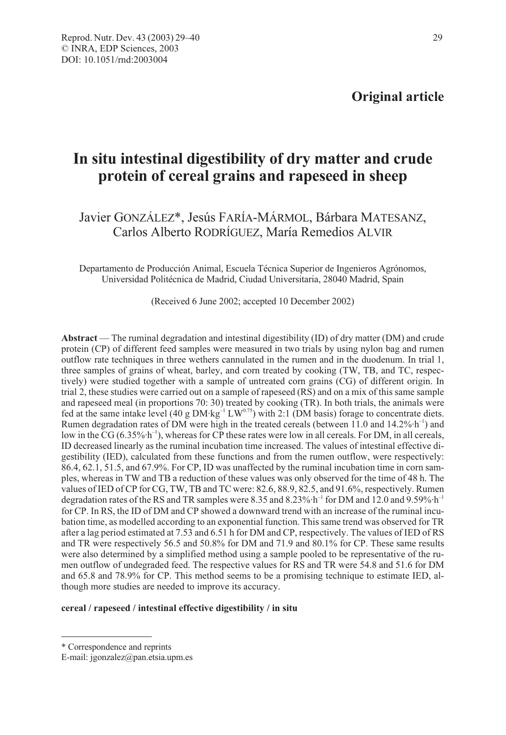# In situ intestinal digestibility of dry matter and crude protein of cereal grains and rapeseed in sheep

## Javier GONZÁLEZ\*, Jesús FARÍA-MÁRMOL, Bárbara MATESANZ, Carlos Alberto RODRÍGUEZ, María Remedios ALVIR

Departamento de Producción Animal, Escuela Técnica Superior de Ingenieros Agrónomos, Universidad Politécnica de Madrid, Ciudad Universitaria, 28040 Madrid, Spain

(Received 6 June 2002; accepted 10 December 2002)

Abstract — The ruminal degradation and intestinal digestibility (ID) of dry matter (DM) and crude protein (CP) of different feed samples were measured in two trials by using nylon bag and rumen outflow rate techniques in three wethers cannulated in the rumen and in the duodenum. In trial 1, three samples of grains of wheat, barley, and corn treated by cooking (TW, TB, and TC, respectively) were studied together with a sample of untreated corn grains (CG) of different origin. In trial 2, these studies were carried out on a sample of rapeseed (RS) and on a mix of this same sample and rapeseed meal (in proportions 70: 30) treated by cooking (TR). In both trials, the animals were fed at the same intake level (40 g  $DM·kg^{-1} LW^{0.75}$ ) with 2:1 (DM basis) forage to concentrate diets. Rumen degradation rates of DM were high in the treated cereals (between 11.0 and  $14.2\%$ ·h<sup>-1</sup>) and low in the CG  $(6.35\% \cdot h^{-1})$ , whereas for CP these rates were low in all cereals. For DM, in all cereals, ID decreased linearly as the ruminal incubation time increased. The values of intestinal effective digestibility (IED), calculated from these functions and from the rumen outflow, were respectively: 86.4, 62.1, 51.5, and 67.9%. For CP, ID was unaffected by the ruminal incubation time in corn samples, whereas in TW and TB a reduction of these values was only observed for the time of 48 h. The values of IED of CP for CG, TW, TB and TC were: 82.6, 88.9, 82.5, and 91.6%, respectively. Rumen degradation rates of the RS and TR samples were 8.35 and 8.23% $\cdot$ h<sup>-1</sup> for DM and 12.0 and 9.59% $\cdot$ h<sup>-1</sup> for CP. In RS, the ID of DM and CP showed a downward trend with an increase of the ruminal incubation time, as modelled according to an exponential function. This same trend was observed for TR after a lag period estimated at 7.53 and 6.51 h for DM and CP, respectively. The values of IED of RS and TR were respectively 56.5 and 50.8% for DM and 71.9 and 80.1% for CP. These same results were also determined by a simplified method using a sample pooled to be representative of the rumen outflow of undegraded feed. The respective values for RS and TR were 54.8 and 51.6 for DM and 65.8 and 78.9% for CP. This method seems to be a promising technique to estimate IED, although more studies are needed to improve its accuracy.

## cereal / rapeseed / intestinal effective digestibility / in situ

<sup>\*</sup> Correspondence and reprints

E-mail: jgonzalez@pan.etsia.upm.es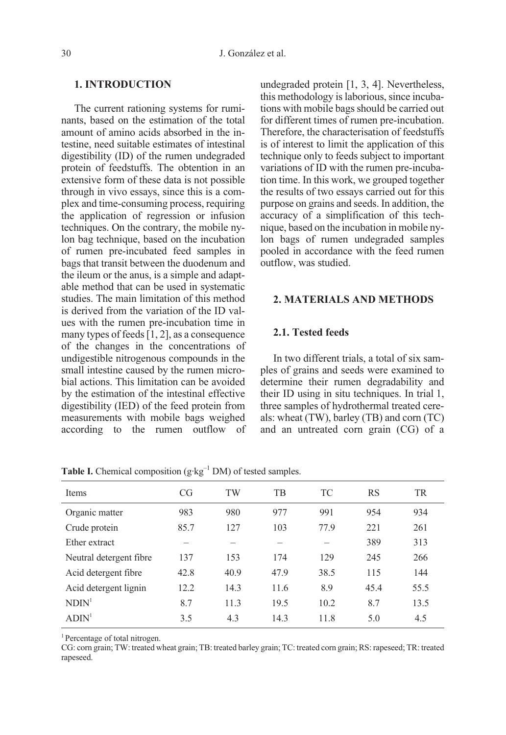## 1. INTRODUCTION

The current rationing systems for ruminants, based on the estimation of the total amount of amino acids absorbed in the intestine, need suitable estimates of intestinal digestibility (ID) of the rumen undegraded protein of feedstuffs. The obtention in an extensive form of these data is not possible through in vivo essays, since this is a complex and time-consuming process, requiring the application of regression or infusion techniques. On the contrary, the mobile nylon bag technique, based on the incubation of rumen pre-incubated feed samples in bags that transit between the duodenum and the ileum or the anus, is a simple and adaptable method that can be used in systematic studies. The main limitation of this method is derived from the variation of the ID values with the rumen pre-incubation time in many types of feeds [1, 2], as a consequence of the changes in the concentrations of undigestible nitrogenous compounds in the small intestine caused by the rumen microbial actions. This limitation can be avoided by the estimation of the intestinal effective digestibility (IED) of the feed protein from measurements with mobile bags weighed according to the rumen outflow of undegraded protein [1, 3, 4]. Nevertheless, this methodology is laborious, since incubations with mobile bags should be carried out for different times of rumen pre-incubation. Therefore, the characterisation of feedstuffs is of interest to limit the application of this technique only to feeds subject to important variations of ID with the rumen pre-incubation time. In this work, we grouped together the results of two essays carried out for this purpose on grains and seeds. In addition, the accuracy of a simplification of this technique, based on the incubation in mobile nylon bags of rumen undegraded samples pooled in accordance with the feed rumen outflow, was studied.

## 2. MATERIALS AND METHODS

## 2.1. Tested feeds

In two different trials, a total of six samples of grains and seeds were examined to determine their rumen degradability and their ID using in situ techniques. In trial 1, three samples of hydrothermal treated cereals: wheat (TW), barley (TB) and corn (TC) and an untreated corn grain (CG) of a

| <b>Items</b>            | CG   | TW   | TB   | TC   | <b>RS</b> | TR   |
|-------------------------|------|------|------|------|-----------|------|
| Organic matter          | 983  | 980  | 977  | 991  | 954       | 934  |
| Crude protein           | 85.7 | 127  | 103  | 77.9 | 221       | 261  |
| Ether extract           |      |      |      |      | 389       | 313  |
| Neutral detergent fibre | 137  | 153  | 174  | 129  | 245       | 266  |
| Acid detergent fibre    | 42.8 | 40.9 | 47.9 | 38.5 | 115       | 144  |
| Acid detergent lignin   | 12.2 | 14.3 | 11.6 | 8.9  | 45.4      | 55.5 |
| NDIN <sup>1</sup>       | 8.7  | 11.3 | 19.5 | 10.2 | 8.7       | 13.5 |
| ADIN <sup>1</sup>       | 3.5  | 4.3  | 14.3 | 11.8 | 5.0       | 4.5  |

Table I. Chemical composition  $(g \cdot kg^{-1} DM)$  of tested samples.

<sup>1</sup> Percentage of total nitrogen.

CG: corn grain; TW: treated wheat grain; TB: treated barley grain; TC: treated corn grain; RS: rapeseed; TR: treated rapeseed.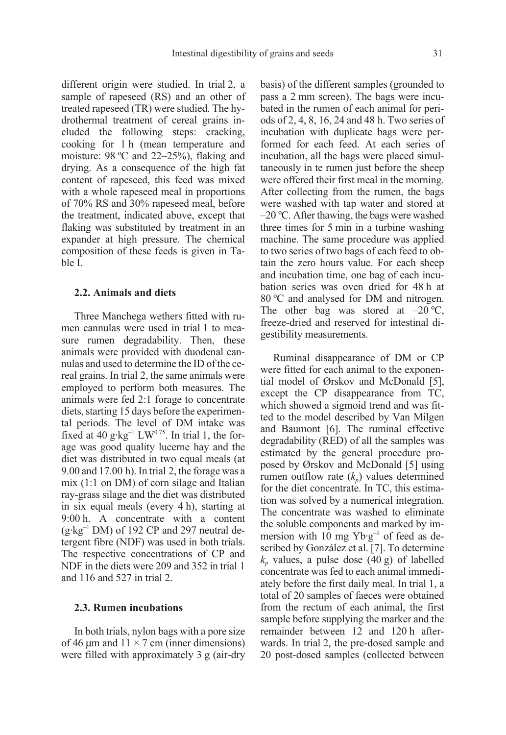different origin were studied. In trial 2, a sample of rapeseed (RS) and an other of treated rapeseed (TR) were studied. The hydrothermal treatment of cereal grains included the following steps: cracking, cooking for 1 h (mean temperature and moisture: 98 ºC and 22–25%), flaking and drying. As a consequence of the high fat content of rapeseed, this feed was mixed with a whole rapeseed meal in proportions of 70% RS and 30% rapeseed meal, before the treatment, indicated above, except that flaking was substituted by treatment in an expander at high pressure. The chemical composition of these feeds is given in Table I.

#### 2.2. Animals and diets

Three Manchega wethers fitted with rumen cannulas were used in trial 1 to measure rumen degradability. Then, these animals were provided with duodenal cannulas and used to determine the ID of the cereal grains. In trial 2, the same animals were employed to perform both measures. The animals were fed 2:1 forage to concentrate diets, starting 15 days before the experimental periods. The level of DM intake was fixed at 40  $g$ ·kg<sup>-1</sup> LW<sup>0.75</sup>. In trial 1, the forage was good quality lucerne hay and the diet was distributed in two equal meals (at 9.00 and 17.00 h). In trial 2, the forage was a mix (1:1 on DM) of corn silage and Italian ray-grass silage and the diet was distributed in six equal meals (every 4 h), starting at 9:00 h. A concentrate with a content  $(g \cdot kg^{-1} DM)$  of 192 CP and 297 neutral detergent fibre (NDF) was used in both trials. The respective concentrations of CP and NDF in the diets were 209 and 352 in trial 1 and 116 and 527 in trial 2.

#### 2.3. Rumen incubations

In both trials, nylon bags with a pore size of 46  $\mu$ m and 11 × 7 cm (inner dimensions) were filled with approximately 3 g (air-dry basis) of the different samples (grounded to pass a 2 mm screen). The bags were incubated in the rumen of each animal for periods of 2, 4, 8, 16, 24 and 48 h. Two series of incubation with duplicate bags were performed for each feed. At each series of incubation, all the bags were placed simultaneously in te rumen just before the sheep were offered their first meal in the morning. After collecting from the rumen, the bags were washed with tap water and stored at –20 ºC. After thawing, the bags were washed three times for 5 min in a turbine washing machine. The same procedure was applied to two series of two bags of each feed to obtain the zero hours value. For each sheep and incubation time, one bag of each incubation series was oven dried for 48 h at 80 ºC and analysed for DM and nitrogen. The other bag was stored at  $-20$  °C, freeze-dried and reserved for intestinal digestibility measurements.

Ruminal disappearance of DM or CP were fitted for each animal to the exponential model of Ørskov and McDonald [5], except the CP disappearance from TC, which showed a sigmoid trend and was fitted to the model described by Van Milgen and Baumont [6]. The ruminal effective degradability (RED) of all the samples was estimated by the general procedure proposed by Ørskov and McDonald [5] using rumen outflow rate  $(k_n)$  values determined for the diet concentrate. In TC, this estimation was solved by a numerical integration. The concentrate was washed to eliminate the soluble components and marked by immersion with 10 mg  $Yb \cdot g^{-1}$  of feed as described by González et al. [7]. To determine  $k<sub>n</sub>$  values, a pulse dose (40 g) of labelled concentrate was fed to each animal immediately before the first daily meal. In trial 1, a total of 20 samples of faeces were obtained from the rectum of each animal, the first sample before supplying the marker and the remainder between 12 and 120 h afterwards. In trial 2, the pre-dosed sample and 20 post-dosed samples (collected between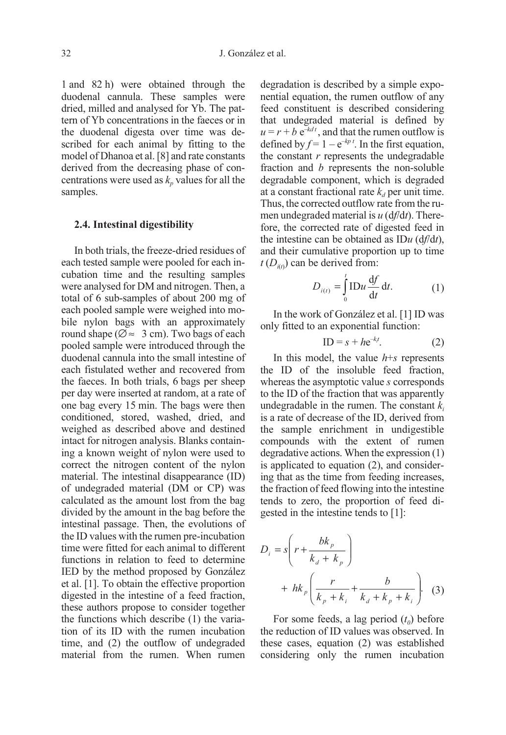1 and 82 h) were obtained through the duodenal cannula. These samples were dried, milled and analysed for Yb. The pattern of Yb concentrations in the faeces or in the duodenal digesta over time was described for each animal by fitting to the model of Dhanoa et al. [8] and rate constants derived from the decreasing phase of concentrations were used as  $k_p$  values for all the samples.

#### 2.4. Intestinal digestibility

In both trials, the freeze-dried residues of each tested sample were pooled for each incubation time and the resulting samples were analysed for DM and nitrogen. Then, a total of 6 sub-samples of about 200 mg of each pooled sample were weighed into mobile nylon bags with an approximately round shape ( $\varnothing \approx 3$  cm). Two bags of each pooled sample were introduced through the duodenal cannula into the small intestine of each fistulated wether and recovered from the faeces. In both trials, 6 bags per sheep per day were inserted at random, at a rate of one bag every 15 min. The bags were then conditioned, stored, washed, dried, and weighed as described above and destined intact for nitrogen analysis. Blanks containing a known weight of nylon were used to correct the nitrogen content of the nylon material. The intestinal disappearance (ID) of undegraded material (DM or CP) was calculated as the amount lost from the bag divided by the amount in the bag before the intestinal passage. Then, the evolutions of the ID values with the rumen pre-incubation time were fitted for each animal to different functions in relation to feed to determine IED by the method proposed by González et al. [1]. To obtain the effective proportion digested in the intestine of a feed fraction, these authors propose to consider together the functions which describe (1) the variation of its ID with the rumen incubation time, and (2) the outflow of undegraded material from the rumen. When rumen

degradation is described by a simple exponential equation, the rumen outflow of any feed constituent is described considering that undegraded material is defined by  $u = r + b e^{-k dt}$ , and that the rumen outflow is defined by  $f = 1 - e^{-kp t}$ . In the first equation, the constant  $r$  represents the undegradable fraction and b represents the non-soluble degradable component, which is degraded at a constant fractional rate  $k_d$  per unit time. Thus, the corrected outflow rate from the rumen undegraded material is  $u$  ( $df/dt$ ). Therefore, the corrected rate of digested feed in the intestine can be obtained as  $IDu$  (d*f*/d*t*), and their cumulative proportion up to time  $t(D_{i(t)})$  can be derived from:

$$
D_{i(t)} = \int_{0}^{t} \text{ID}u \frac{\text{d}f}{\text{d}t} \text{d}t. \tag{1}
$$

In the work of González et al. [1] ID was only fitted to an exponential function:

$$
ID = s + h e^{-k}.
$$
 (2)

In this model, the value  $h+s$  represents the ID of the insoluble feed fraction, whereas the asymptotic value s corresponds to the ID of the fraction that was apparently undegradable in the rumen. The constant  $k_i$ is a rate of decrease of the ID, derived from the sample enrichment in undigestible compounds with the extent of rumen degradative actions. When the expression (1) is applicated to equation (2), and considering that as the time from feeding increases, the fraction of feed flowing into the intestine tends to zero, the proportion of feed digested in the intestine tends to [1]:

$$
D_i = s \left( r + \frac{bk_p}{k_d + k_p} \right)
$$
  
+  $hk_p \left( \frac{r}{k_p + k_i} + \frac{b}{k_d + k_p + k_i} \right)$ . (3)

For some feeds, a lag period  $(t_0)$  before the reduction of ID values was observed. In these cases, equation (2) was established considering only the rumen incubation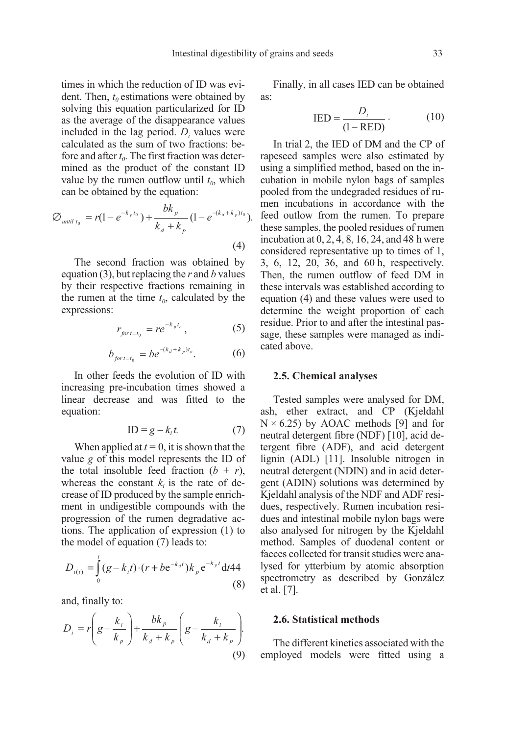times in which the reduction of ID was evident. Then,  $t_0$  estimations were obtained by solving this equation particularized for ID as the average of the disappearance values included in the lag period.  $D_i$  values were calculated as the sum of two fractions: before and after  $t_0$ . The first fraction was determined as the product of the constant ID value by the rumen outflow until  $t_0$ , which can be obtained by the equation:

$$
\emptyset_{\text{until } t_0} = r(1 - e^{-k_p t_0}) + \frac{bk_p}{k_d + k_p} (1 - e^{-(k_d + k_p)t_0}).
$$
\n(4)

The second fraction was obtained by equation (3), but replacing the r and b values by their respective fractions remaining in the rumen at the time  $t_0$ , calculated by the expressions:

$$
r_{\text{for }t=t_0} = r e^{-k_p t_o}, \qquad (5)
$$

$$
b_{\text{for }t=t_0} = b e^{-(k_d + k_p)t_o}.
$$
 (6)

In other feeds the evolution of ID with increasing pre-incubation times showed a linear decrease and was fitted to the equation:

$$
ID = g - k_i t. \tag{7}
$$

When applied at  $t = 0$ , it is shown that the value g of this model represents the ID of the total insoluble feed fraction  $(b + r)$ , whereas the constant  $k_i$  is the rate of decrease of ID produced by the sample enrichment in undigestible compounds with the progression of the rumen degradative actions. The application of expression (1) to the model of equation (7) leads to:

$$
D_{i(t)} = \int_{0}^{t} (g - k_{i}t) \cdot (r + be^{-k_{d}t}) k_{p} e^{-k_{p}t} dt44
$$
\n(8)

and, finally to:

$$
D_i = r \left( g - \frac{k_i}{k_p} \right) + \frac{bk_p}{k_d + k_p} \left( g - \frac{k_i}{k_d + k_p} \right). \tag{9}
$$

Finally, in all cases IED can be obtained as:

$$
IED = \frac{D_i}{(1 - RED)} \tag{10}
$$

In trial 2, the IED of DM and the CP of rapeseed samples were also estimated by using a simplified method, based on the incubation in mobile nylon bags of samples pooled from the undegraded residues of rumen incubations in accordance with the feed outlow from the rumen. To prepare these samples, the pooled residues of rumen incubation at 0, 2, 4, 8, 16, 24, and 48 h were considered representative up to times of 1, 3, 6, 12, 20, 36, and 60 h, respectively. Then, the rumen outflow of feed DM in these intervals was established according to equation (4) and these values were used to determine the weight proportion of each residue. Prior to and after the intestinal passage, these samples were managed as indicated above.

#### 2.5. Chemical analyses

Tested samples were analysed for DM, ash, ether extract, and CP (Kjeldahl  $N \times 6.25$ ) by AOAC methods [9] and for neutral detergent fibre (NDF) [10], acid detergent fibre (ADF), and acid detergent lignin (ADL) [11]. Insoluble nitrogen in neutral detergent (NDIN) and in acid detergent (ADIN) solutions was determined by Kjeldahl analysis of the NDF and ADF residues, respectively. Rumen incubation residues and intestinal mobile nylon bags were also analysed for nitrogen by the Kjeldahl method. Samples of duodenal content or faeces collected for transit studies were analysed for ytterbium by atomic absorption spectrometry as described by González et al. [7].

## 2.6. Statistical methods

The different kinetics associated with the employed models were fitted using a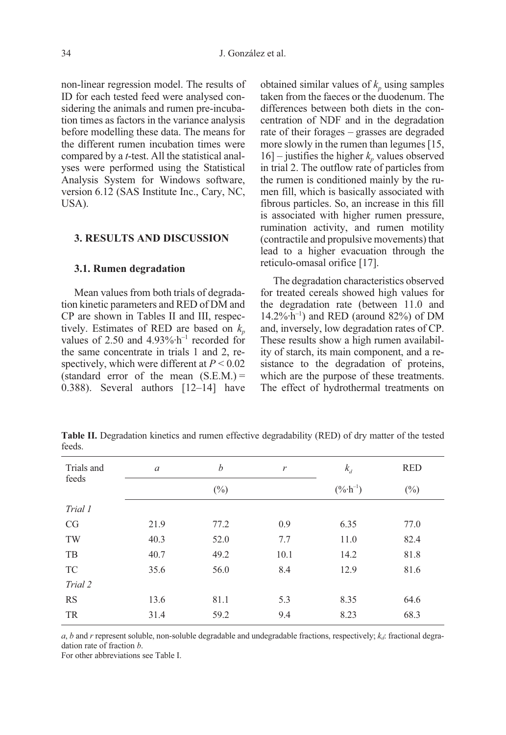non-linear regression model. The results of ID for each tested feed were analysed considering the animals and rumen pre-incubation times as factors in the variance analysis before modelling these data. The means for the different rumen incubation times were compared by a t-test. All the statistical analyses were performed using the Statistical Analysis System for Windows software, version 6.12 (SAS Institute Inc., Cary, NC, USA).

## 3. RESULTS AND DISCUSSION

#### 3.1. Rumen degradation

Mean values from both trials of degradation kinetic parameters and RED of DM and CP are shown in Tables II and III, respectively. Estimates of RED are based on  $k_n$ values of 2.50 and  $4.93\%$ ·h<sup>-1</sup> recorded for the same concentrate in trials 1 and 2, respectively, which were different at  $P < 0.02$ (standard error of the mean  $(S.E.M.) =$ 0.388). Several authors [12–14] have

obtained similar values of  $k_p$  using samples taken from the faeces or the duodenum. The differences between both diets in the concentration of NDF and in the degradation rate of their forages – grasses are degraded more slowly in the rumen than legumes [15,  $16$  – justifies the higher  $k_p$  values observed in trial 2. The outflow rate of particles from the rumen is conditioned mainly by the rumen fill, which is basically associated with fibrous particles. So, an increase in this fill is associated with higher rumen pressure, rumination activity, and rumen motility (contractile and propulsive movements) that lead to a higher evacuation through the reticulo-omasal orifice [17].

The degradation characteristics observed for treated cereals showed high values for the degradation rate (between 11.0 and  $14.2\%$ ·h<sup>-1</sup>) and RED (around 82%) of DM and, inversely, low degradation rates of CP. These results show a high rumen availability of starch, its main component, and a resistance to the degradation of proteins, which are the purpose of these treatments. The effect of hydrothermal treatments on

| feeds.     |     |  |                |       |
|------------|-----|--|----------------|-------|
| Trials and |     |  | $\kappa_d$     | RED   |
| feeds      | (0/ |  | $(0/4-h^{-1})$ | (0/2) |

Table II. Degradation kinetics and rumen effective degradability (RED) of dry matter of the tested

| 111uwun<br>feeds | u    | $\overline{ }$ | $\mathbf{r}$ | $\mathbf{u}_d$      | $\sim$ |  |
|------------------|------|----------------|--------------|---------------------|--------|--|
|                  |      | $(\%)$         |              | $(\% \cdot h^{-1})$ | $(\%)$ |  |
| Trial 1          |      |                |              |                     |        |  |
| CG               | 21.9 | 77.2           | 0.9          | 6.35                | 77.0   |  |
| TW               | 40.3 | 52.0           | 7.7          | 11.0                | 82.4   |  |
| TB               | 40.7 | 49.2           | 10.1         | 14.2                | 81.8   |  |
| TC               | 35.6 | 56.0           | 8.4          | 12.9                | 81.6   |  |
| Trial 2          |      |                |              |                     |        |  |
| <b>RS</b>        | 13.6 | 81.1           | 5.3          | 8.35                | 64.6   |  |
| TR               | 31.4 | 59.2           | 9.4          | 8.23                | 68.3   |  |
|                  |      |                |              |                     |        |  |

 $a, b$  and r represent soluble, non-soluble degradable and undegradable fractions, respectively;  $k_d$ : fractional degradation rate of fraction *b*.

For other abbreviations see Table I.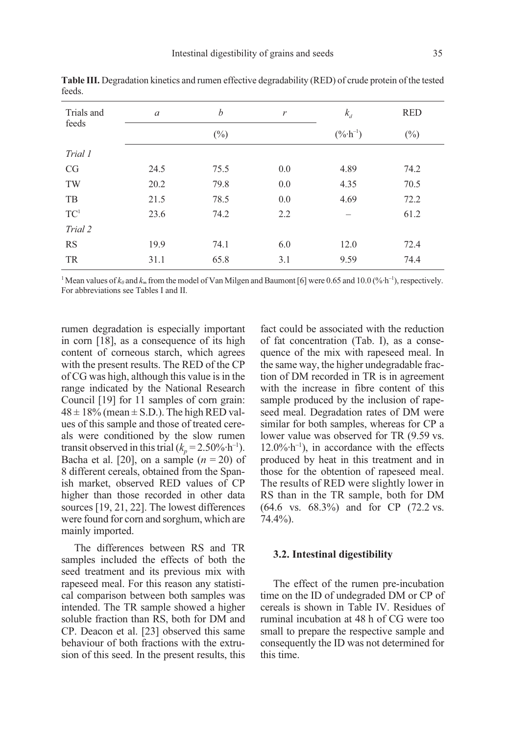| Trials and<br>feeds | $\alpha$ | b      | r                   | $k_d$  | <b>RED</b> |
|---------------------|----------|--------|---------------------|--------|------------|
|                     |          | $(\%)$ | $(\% \cdot h^{-1})$ | $(\%)$ |            |
| Trial 1             |          |        |                     |        |            |
| CG                  | 24.5     | 75.5   | 0.0                 | 4.89   | 74.2       |
| TW                  | 20.2     | 79.8   | 0.0                 | 4.35   | 70.5       |
| TB                  | 21.5     | 78.5   | 0.0                 | 4.69   | 72.2       |
| TC <sup>1</sup>     | 23.6     | 74.2   | 2.2                 |        | 61.2       |
| Trial 2             |          |        |                     |        |            |
| <b>RS</b>           | 19.9     | 74.1   | 6.0                 | 12.0   | 72.4       |
| <b>TR</b>           | 31.1     | 65.8   | 3.1                 | 9.59   | 74.4       |

Table III. Degradation kinetics and rumen effective degradability (RED) of crude protein of the tested feeds.

<sup>1</sup> Mean values of  $k_0$  and  $k_\infty$  from the model of Van Milgen and Baumont [6] were 0.65 and 10.0 (%·h<sup>-1</sup>), respectively. For abbreviations see Tables I and II.

rumen degradation is especially important in corn [18], as a consequence of its high content of corneous starch, which agrees with the present results. The RED of the CP of CG was high, although this value is in the range indicated by the National Research Council [19] for 11 samples of corn grain:  $48 \pm 18\%$  (mean  $\pm$  S.D.). The high RED values of this sample and those of treated cereals were conditioned by the slow rumen transit observed in this trial  $(k_p = 2.50\% \cdot h^{-1})$ . Bacha et al. [20], on a sample  $(n = 20)$  of 8 different cereals, obtained from the Spanish market, observed RED values of CP higher than those recorded in other data sources [19, 21, 22]. The lowest differences were found for corn and sorghum, which are mainly imported.

The differences between RS and TR samples included the effects of both the seed treatment and its previous mix with rapeseed meal. For this reason any statistical comparison between both samples was intended. The TR sample showed a higher soluble fraction than RS, both for DM and CP. Deacon et al. [23] observed this same behaviour of both fractions with the extrusion of this seed. In the present results, this fact could be associated with the reduction of fat concentration (Tab. I), as a consequence of the mix with rapeseed meal. In the same way, the higher undegradable fraction of DM recorded in TR is in agreement with the increase in fibre content of this sample produced by the inclusion of rapeseed meal. Degradation rates of DM were similar for both samples, whereas for CP a lower value was observed for TR (9.59 vs.  $12.0\%$ ·h<sup>-1</sup>), in accordance with the effects produced by heat in this treatment and in those for the obtention of rapeseed meal. The results of RED were slightly lower in RS than in the TR sample, both for DM (64.6 vs. 68.3%) and for CP (72.2 vs. 74.4%).

#### 3.2. Intestinal digestibility

The effect of the rumen pre-incubation time on the ID of undegraded DM or CP of cereals is shown in Table IV. Residues of ruminal incubation at 48 h of CG were too small to prepare the respective sample and consequently the ID was not determined for this time.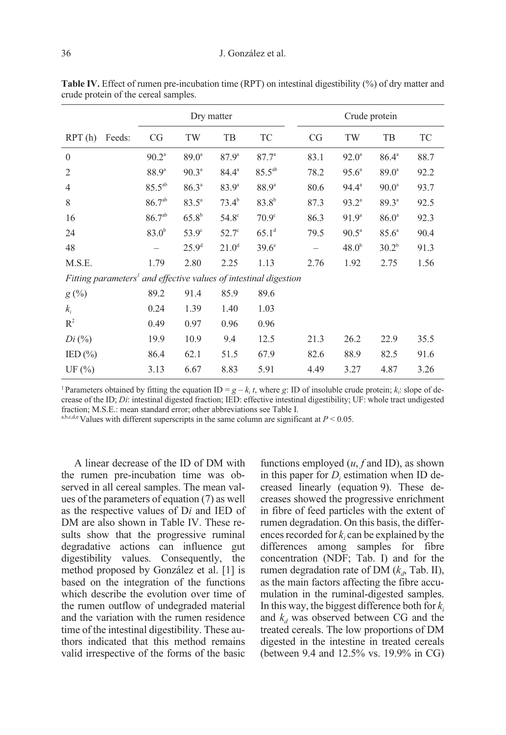|                                                                  | Dry matter        |                   |                   | Crude protein     |  |      |                   |                   |      |
|------------------------------------------------------------------|-------------------|-------------------|-------------------|-------------------|--|------|-------------------|-------------------|------|
| RPT(h)<br>Feeds:                                                 | CG                | TW                | TB                | TC                |  | CG   | TW                | TB                | TC   |
| $\mathbf{0}$                                                     | $90.2^{\circ}$    | $89.0^{\circ}$    | 87.9 <sup>a</sup> | 87.7 <sup>a</sup> |  | 83.1 | $92.0^{\circ}$    | $86.4^{\circ}$    | 88.7 |
| $\overline{2}$                                                   | $88.9^{\circ}$    | $90.3^{\circ}$    | $84.4^{\circ}$    | $85.5^{ab}$       |  | 78.2 | $95.6^{\circ}$    | $89.0^{\circ}$    | 92.2 |
| $\overline{4}$                                                   | $85.5^{ab}$       | $86.3^{a}$        | $83.9^{\circ}$    | $88.9^{a}$        |  | 80.6 | $94.4^{\circ}$    | $90.0^{\circ}$    | 93.7 |
| 8                                                                | $86.7^{ab}$       | $83.5^{\circ}$    | $73.4^b$          | $83.8^{b}$        |  | 87.3 | $93.2^{a}$        | 89.3 <sup>a</sup> | 92.5 |
| 16                                                               | $86.7^{ab}$       | $65.8^{b}$        | $54.8^\circ$      | 70.9 <sup>c</sup> |  | 86.3 | $91.9^{\circ}$    | $86.0^{\circ}$    | 92.3 |
| 24                                                               | 83.0 <sup>b</sup> | $53.9^\circ$      | $52.7^\circ$      | $65.1^d$          |  | 79.5 | $90.5^{\circ}$    | $85.6^{\circ}$    | 90.4 |
| 48                                                               |                   | 25.9 <sup>d</sup> | $21.0^d$          | $39.6^\circ$      |  |      | 48.0 <sup>b</sup> | $30.2^{b}$        | 91.3 |
| M.S.E.                                                           | 1.79              | 2.80              | 2.25              | 1.13              |  | 2.76 | 1.92              | 2.75              | 1.56 |
| Fitting parameters' and effective values of intestinal digestion |                   |                   |                   |                   |  |      |                   |                   |      |
| $g(\%)$                                                          | 89.2              | 91.4              | 85.9              | 89.6              |  |      |                   |                   |      |
| $k_i$                                                            | 0.24              | 1.39              | 1.40              | 1.03              |  |      |                   |                   |      |
| $R^2$                                                            | 0.49              | 0.97              | 0.96              | 0.96              |  |      |                   |                   |      |
| Di (%)                                                           | 19.9              | 10.9              | 9.4               | 12.5              |  | 21.3 | 26.2              | 22.9              | 35.5 |
| IED(%)                                                           | 86.4              | 62.1              | 51.5              | 67.9              |  | 82.6 | 88.9              | 82.5              | 91.6 |
| UF $(\%)$                                                        | 3.13              | 6.67              | 8.83              | 5.91              |  | 4.49 | 3.27              | 4.87              | 3.26 |

Table IV. Effect of rumen pre-incubation time (RPT) on intestinal digestibility (%) of dry matter and crude protein of the cereal samples.

<sup>1</sup> Parameters obtained by fitting the equation ID =  $g - k_i t$ , where g: ID of insoluble crude protein;  $k_i$ : slope of decrease of the ID; Di: intestinal digested fraction; IED: effective intestinal digestibility; UF: whole tract undigested fraction; M.S.E.: mean standard error; other abbreviations see Table I.

a,b,c,d,e Values with different superscripts in the same column are significant at  $P < 0.05$ .

A linear decrease of the ID of DM with the rumen pre-incubation time was observed in all cereal samples. The mean values of the parameters of equation (7) as well as the respective values of Di and IED of DM are also shown in Table IV. These results show that the progressive ruminal degradative actions can influence gut digestibility values. Consequently, the method proposed by González et al. [1] is based on the integration of the functions which describe the evolution over time of the rumen outflow of undegraded material and the variation with the rumen residence time of the intestinal digestibility. These authors indicated that this method remains valid irrespective of the forms of the basic

functions employed  $(u, f$  and ID), as shown in this paper for  $D_i$  estimation when ID decreased linearly (equation 9). These decreases showed the progressive enrichment in fibre of feed particles with the extent of rumen degradation. On this basis, the differences recorded for  $k_i$  can be explained by the differences among samples for fibre concentration (NDF; Tab. I) and for the rumen degradation rate of DM  $(k_d,$  Tab. II), as the main factors affecting the fibre accumulation in the ruminal-digested samples. In this way, the biggest difference both for  $k_i$ and  $k_d$  was observed between CG and the treated cereals. The low proportions of DM digested in the intestine in treated cereals (between 9.4 and 12.5% vs. 19.9% in CG)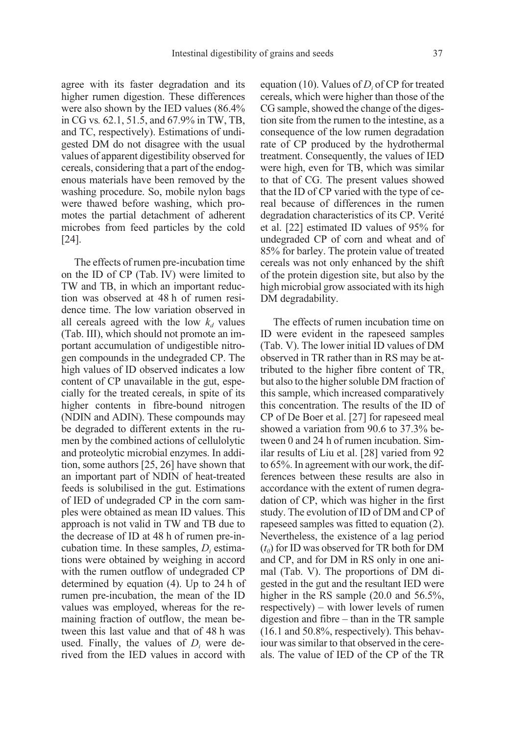agree with its faster degradation and its higher rumen digestion. These differences were also shown by the IED values (86.4% in CG vs. 62.1, 51.5, and 67.9% in TW, TB, and TC, respectively). Estimations of undigested DM do not disagree with the usual values of apparent digestibility observed for cereals, considering that a part of the endogenous materials have been removed by the washing procedure. So, mobile nylon bags were thawed before washing, which promotes the partial detachment of adherent microbes from feed particles by the cold [24].

The effects of rumen pre-incubation time on the ID of CP (Tab. IV) were limited to TW and TB, in which an important reduction was observed at 48 h of rumen residence time. The low variation observed in all cereals agreed with the low  $k_d$  values (Tab. III), which should not promote an important accumulation of undigestible nitrogen compounds in the undegraded CP. The high values of ID observed indicates a low content of CP unavailable in the gut, especially for the treated cereals, in spite of its higher contents in fibre-bound nitrogen (NDIN and ADIN). These compounds may be degraded to different extents in the rumen by the combined actions of cellulolytic and proteolytic microbial enzymes. In addition, some authors [25, 26] have shown that an important part of NDIN of heat-treated feeds is solubilised in the gut. Estimations of IED of undegraded CP in the corn samples were obtained as mean ID values. This approach is not valid in TW and TB due to the decrease of ID at 48 h of rumen pre-incubation time. In these samples,  $D_i$  estimations were obtained by weighing in accord with the rumen outflow of undegraded CP determined by equation (4). Up to 24 h of rumen pre-incubation, the mean of the ID values was employed, whereas for the remaining fraction of outflow, the mean between this last value and that of 48 h was used. Finally, the values of  $D_i$  were derived from the IED values in accord with equation (10). Values of  $D_i$  of CP for treated cereals, which were higher than those of the CG sample, showed the change of the digestion site from the rumen to the intestine, as a consequence of the low rumen degradation rate of CP produced by the hydrothermal treatment. Consequently, the values of IED were high, even for TB, which was similar to that of CG. The present values showed that the ID of CP varied with the type of cereal because of differences in the rumen degradation characteristics of its CP. Verité et al. [22] estimated ID values of 95% for undegraded CP of corn and wheat and of 85% for barley. The protein value of treated cereals was not only enhanced by the shift of the protein digestion site, but also by the high microbial grow associated with its high DM degradability.

The effects of rumen incubation time on ID were evident in the rapeseed samples (Tab. V). The lower initial ID values of DM observed in TR rather than in RS may be attributed to the higher fibre content of TR, but also to the higher soluble DM fraction of this sample, which increased comparatively this concentration. The results of the ID of CP of De Boer et al. [27] for rapeseed meal showed a variation from 90.6 to 37.3% between 0 and 24 h of rumen incubation. Similar results of Liu et al. [28] varied from 92 to 65%. In agreement with our work, the differences between these results are also in accordance with the extent of rumen degradation of CP, which was higher in the first study. The evolution of ID of DM and CP of rapeseed samples was fitted to equation (2). Nevertheless, the existence of a lag period  $(t_0)$  for ID was observed for TR both for DM and CP, and for DM in RS only in one animal (Tab. V). The proportions of DM digested in the gut and the resultant IED were higher in the RS sample (20.0 and 56.5%, respectively) – with lower levels of rumen digestion and fibre – than in the TR sample (16.1 and 50.8%, respectively). This behaviour was similar to that observed in the cereals. The value of IED of the CP of the TR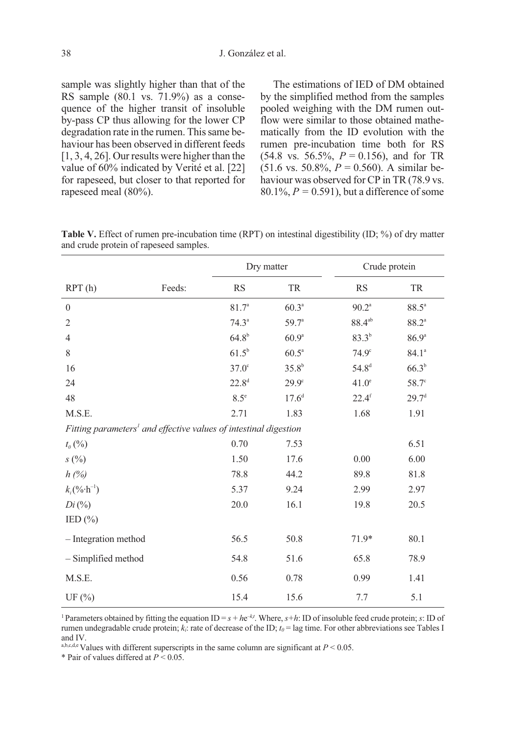sample was slightly higher than that of the RS sample (80.1 vs. 71.9%) as a consequence of the higher transit of insoluble by-pass CP thus allowing for the lower CP degradation rate in the rumen. This same behaviour has been observed in different feeds [1, 3, 4, 26]. Our results were higher than the value of 60% indicated by Verité et al. [22] for rapeseed, but closer to that reported for rapeseed meal (80%).

The estimations of IED of DM obtained by the simplified method from the samples pooled weighing with the DM rumen outflow were similar to those obtained mathematically from the ID evolution with the rumen pre-incubation time both for RS  $(54.8 \text{ vs. } 56.5\%, P = 0.156)$ , and for TR  $(51.6 \text{ vs. } 50.8\%, P = 0.560)$ . A similar behaviour was observed for CP in TR (78.9 vs.  $80.1\%$ ,  $P = 0.591$ ), but a difference of some

|                                                                              |        | Dry matter        |                   |                   | Crude protein     |  |
|------------------------------------------------------------------------------|--------|-------------------|-------------------|-------------------|-------------------|--|
| RPT(h)                                                                       | Feeds: | <b>RS</b>         | TR                | <b>RS</b>         | TR                |  |
| $\mathbf{0}$                                                                 |        | 81.7 <sup>a</sup> | 60.3 <sup>a</sup> | 90.2 <sup>a</sup> | $88.5^{\circ}$    |  |
| $\mathfrak{2}$                                                               |        | $74.3^{\circ}$    | $59.7^{\circ}$    | $88.4^{ab}$       | $88.2^{\circ}$    |  |
| $\overline{4}$                                                               |        | $64.8^{b}$        | 60.9 <sup>a</sup> | $83.3^{b}$        | 86.9 <sup>a</sup> |  |
| 8                                                                            |        | $61.5^{b}$        | 60.5 <sup>a</sup> | $74.9^\circ$      | $84.1^a$          |  |
| 16                                                                           |        | $37.0^\circ$      | $35.8^{b}$        | 54.8 <sup>d</sup> | $66.3^{b}$        |  |
| 24                                                                           |        | $22.8^{d}$        | $29.9^\circ$      | $41.0^\circ$      | $58.7^\circ$      |  |
| 48                                                                           |        | $8.5^\circ$       | $17.6^d$          | $22.4^f$          | 29.7 <sup>d</sup> |  |
| M.S.E.                                                                       |        | 2.71              | 1.83              | 1.68              | 1.91              |  |
| Fitting parameters <sup>1</sup> and effective values of intestinal digestion |        |                   |                   |                   |                   |  |
| $t_{0}$ (%)                                                                  |        | 0.70              | 7.53              |                   | 6.51              |  |
| s(%)                                                                         |        | 1.50              | 17.6              | $0.00\,$          | 6.00              |  |
| h(%)                                                                         |        | 78.8              | 44.2              | 89.8              | 81.8              |  |
| $k_i$ (% $\cdot$ h <sup>-1</sup> )                                           |        | 5.37              | 9.24              | 2.99              | 2.97              |  |
| Di (%)                                                                       |        | 20.0              | 16.1              | 19.8              | 20.5              |  |
| IED $(\% )$                                                                  |        |                   |                   |                   |                   |  |
| - Integration method                                                         |        | 56.5              | 50.8              | $71.9*$           | 80.1              |  |
| - Simplified method                                                          |        | 54.8              | 51.6              | 65.8              | 78.9              |  |
| M.S.E.                                                                       |        | 0.56              | 0.78              | 0.99              | 1.41              |  |
| UF $(\%)$                                                                    |        | 15.4              | 15.6              | 7.7               | 5.1               |  |

Table V. Effect of rumen pre-incubation time (RPT) on intestinal digestibility (ID; %) of dry matter and crude protein of rapeseed samples.

<sup>1</sup> Parameters obtained by fitting the equation  $ID = s + he^{-kt}$ . Where,  $s+h$ : ID of insoluble feed crude protein; s: ID of rumen undegradable crude protein;  $k_i$ : rate of decrease of the ID;  $t_0$  = lag time. For other abbreviations see Tables I and IV.

a,b,c,d,e Values with different superscripts in the same column are significant at  $P < 0.05$ .

\* Pair of values differed at  $P < 0.05$ .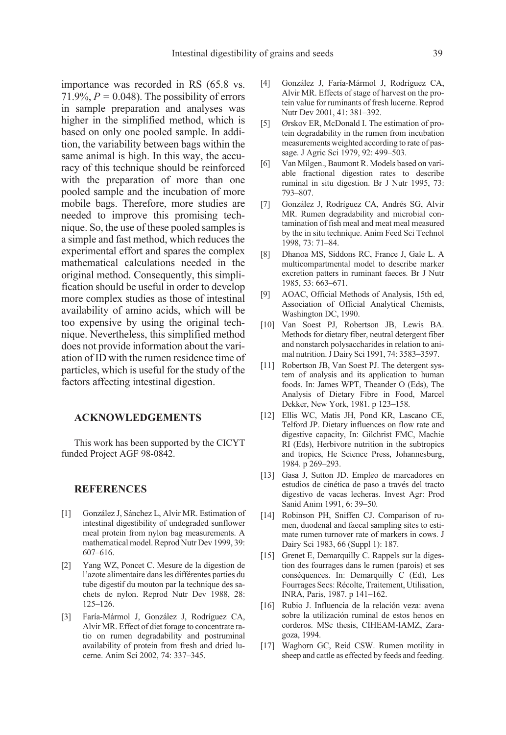importance was recorded in RS (65.8 vs. 71.9%,  $P = 0.048$ ). The possibility of errors in sample preparation and analyses was higher in the simplified method, which is based on only one pooled sample. In addition, the variability between bags within the same animal is high. In this way, the accuracy of this technique should be reinforced with the preparation of more than one pooled sample and the incubation of more mobile bags. Therefore, more studies are needed to improve this promising technique. So, the use of these pooled samples is a simple and fast method, which reduces the experimental effort and spares the complex mathematical calculations needed in the original method. Consequently, this simplification should be useful in order to develop more complex studies as those of intestinal availability of amino acids, which will be too expensive by using the original technique. Nevertheless, this simplified method does not provide information about the variation of ID with the rumen residence time of particles, which is useful for the study of the factors affecting intestinal digestion.

## ACKNOWLEDGEMENTS

This work has been supported by the CICYT funded Project AGF 98-0842.

## **REFERENCES**

- [1] González J, Sánchez L, Alvir MR. Estimation of intestinal digestibility of undegraded sunflower meal protein from nylon bag measurements. A mathematical model. Reprod Nutr Dev 1999, 39: 607–616.
- [2] Yang WZ, Poncet C. Mesure de la digestion de l'azote alimentaire dans les différentes parties du tube digestif du mouton par la technique des sachets de nylon. Reprod Nutr Dev 1988, 28: 125–126.
- [3] Faría-Mármol J, González J, Rodríguez CA, Alvir MR. Effect of diet forage to concentrate ratio on rumen degradability and postruminal availability of protein from fresh and dried lucerne. Anim Sci 2002, 74: 337–345.
- [4] González J, Faría-Mármol J, Rodríguez CA, Alvir MR. Effects of stage of harvest on the protein value for ruminants of fresh lucerne. Reprod Nutr Dev 2001, 41: 381–392.
- [5] Ørskov ER, McDonald I. The estimation of protein degradability in the rumen from incubation measurements weighted according to rate of passage. J Agric Sci 1979, 92: 499–503.
- [6] Van Milgen., Baumont R. Models based on variable fractional digestion rates to describe ruminal in situ digestion. Br J Nutr 1995, 73: 793–807.
- [7] González J, Rodríguez CA, Andrés SG, Alvir MR. Rumen degradability and microbial contamination of fish meal and meat meal measured by the in situ technique. Anim Feed Sci Technol 1998, 73: 71–84.
- [8] Dhanoa MS, Siddons RC, France J, Gale L. A multicompartmental model to describe marker excretion patters in ruminant faeces. Br J Nutr 1985, 53: 663–671.
- [9] AOAC, Official Methods of Analysis, 15th ed, Association of Official Analytical Chemists, Washington DC, 1990.
- [10] Van Soest PJ, Robertson JB, Lewis BA. Methods for dietary fiber, neutral detergent fiber and nonstarch polysaccharides in relation to animal nutrition. J Dairy Sci 1991, 74: 3583–3597.
- [11] Robertson JB, Van Soest PJ. The detergent system of analysis and its application to human foods. In: James WPT, Theander O (Eds), The Analysis of Dietary Fibre in Food, Marcel Dekker, New York, 1981. p 123–158.
- [12] Ellis WC, Matis JH, Pond KR, Lascano CE, Telford JP. Dietary influences on flow rate and digestive capacity, In: Gilchrist FMC, Machie RI (Eds), Herbivore nutrition in the subtropics and tropics, He Science Press, Johannesburg, 1984. p 269–293.
- [13] Gasa J, Sutton JD. Empleo de marcadores en estudios de cinética de paso a través del tracto digestivo de vacas lecheras. Invest Agr: Prod Sanid Anim 1991, 6: 39–50.
- [14] Robinson PH, Sniffen CJ. Comparison of rumen, duodenal and faecal sampling sites to estimate rumen turnover rate of markers in cows. J Dairy Sci 1983, 66 (Suppl 1): 187.
- [15] Grenet E, Demarquilly C. Rappels sur la digestion des fourrages dans le rumen (parois) et ses conséquences. In: Demarquilly C (Ed), Les Fourrages Secs: Récolte, Traitement, Utilisation, INRA, Paris, 1987. p 141–162.
- [16] Rubio J. Influencia de la relación veza: avena sobre la utilización ruminal de estos henos en corderos. MSc thesis, CIHEAM-IAMZ, Zaragoza, 1994.
- [17] Waghorn GC, Reid CSW. Rumen motility in sheep and cattle as effected by feeds and feeding.